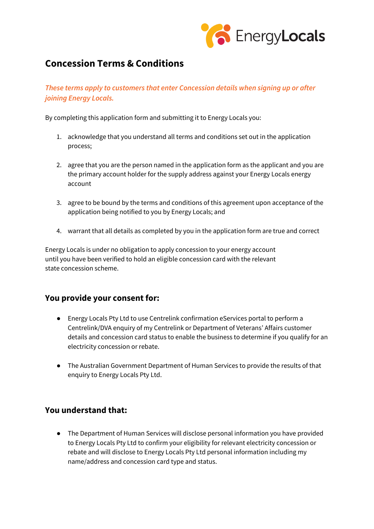

## **Concession Terms & Conditions**

## *These terms apply to customers that enter Concession details when signing up or after joining Energy Locals.*

By completing this application form and submitting it to Energy Locals you:

- 1. acknowledge that you understand all terms and conditions set out in the application process;
- 2. agree that you are the person named in the application form as the applicant and you are the primary account holder for the supply address against your Energy Locals energy account
- 3. agree to be bound by the terms and conditions of this agreement upon acceptance of the application being notified to you by Energy Locals; and
- 4. warrant that all details as completed by you in the application form are true and correct

Energy Locals is under no obligation to apply concession to your energy account until you have been verified to hold an eligible concession card with the relevant state concession scheme.

## **You provide your consent for:**

- Energy Locals Pty Ltd to use Centrelink confirmation eServices portal to perform a Centrelink/DVA enquiry of my Centrelink or Department of Veterans' Affairs customer details and concession card status to enable the business to determine if you qualify for an electricity concession or rebate.
- The Australian Government Department of Human Services to provide the results of that enquiry to Energy Locals Pty Ltd.

## **You understand that:**

● The Department of Human Services will disclose personal information you have provided to Energy Locals Pty Ltd to confirm your eligibility for relevant electricity concession or rebate and will disclose to Energy Locals Pty Ltd personal information including my name/address and concession card type and status.